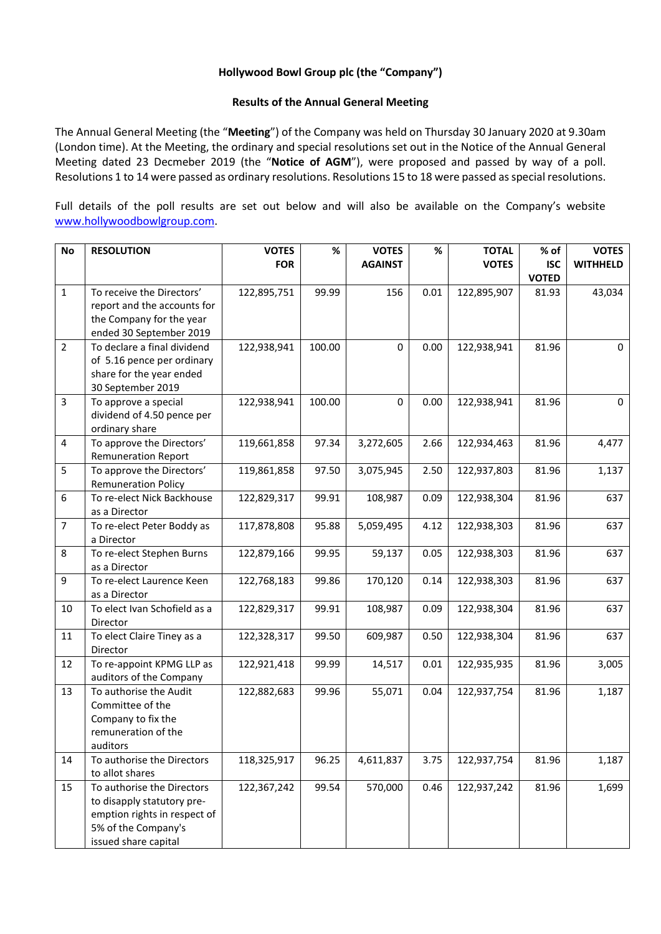## **Hollywood Bowl Group plc (the "Company")**

## **Results of the Annual General Meeting**

The Annual General Meeting (the "**Meeting**") of the Company was held on Thursday 30 January 2020 at 9.30am (London time). At the Meeting, the ordinary and special resolutions set out in the Notice of the Annual General Meeting dated 23 Decmeber 2019 (the "**Notice of AGM**"), were proposed and passed by way of a poll. Resolutions 1 to 14 were passed as ordinary resolutions. Resolutions 15 to 18 were passed as special resolutions.

Full details of the poll results are set out below and will also be available on the Company's website [www.hollywoodbowlgroup.com.](http://www.hollywoodbowlgroup.com/)

| <b>No</b>      | <b>RESOLUTION</b>                                      | <b>VOTES</b> | %      | <b>VOTES</b>   | $\%$ | <b>TOTAL</b> | % of         | <b>VOTES</b>    |
|----------------|--------------------------------------------------------|--------------|--------|----------------|------|--------------|--------------|-----------------|
|                |                                                        | <b>FOR</b>   |        | <b>AGAINST</b> |      | <b>VOTES</b> | <b>ISC</b>   | <b>WITHHELD</b> |
|                |                                                        |              |        |                |      |              | <b>VOTED</b> |                 |
| $\mathbf{1}$   | To receive the Directors'                              | 122,895,751  | 99.99  | 156            | 0.01 | 122,895,907  | 81.93        | 43,034          |
|                | report and the accounts for                            |              |        |                |      |              |              |                 |
|                | the Company for the year                               |              |        |                |      |              |              |                 |
|                | ended 30 September 2019                                |              |        |                |      |              |              |                 |
| $\overline{2}$ | To declare a final dividend                            | 122,938,941  | 100.00 | 0              | 0.00 | 122,938,941  | 81.96        | 0               |
|                | of 5.16 pence per ordinary<br>share for the year ended |              |        |                |      |              |              |                 |
|                | 30 September 2019                                      |              |        |                |      |              |              |                 |
| 3              | To approve a special                                   | 122,938,941  | 100.00 | 0              | 0.00 | 122,938,941  | 81.96        | 0               |
|                | dividend of 4.50 pence per                             |              |        |                |      |              |              |                 |
|                | ordinary share                                         |              |        |                |      |              |              |                 |
| 4              | To approve the Directors'                              | 119,661,858  | 97.34  | 3,272,605      | 2.66 | 122,934,463  | 81.96        | 4,477           |
|                | <b>Remuneration Report</b>                             |              |        |                |      |              |              |                 |
| 5              | To approve the Directors'                              | 119,861,858  | 97.50  | 3,075,945      | 2.50 | 122,937,803  | 81.96        | 1,137           |
|                | <b>Remuneration Policy</b>                             |              |        |                |      |              |              |                 |
| 6              | To re-elect Nick Backhouse                             | 122,829,317  | 99.91  | 108,987        | 0.09 | 122,938,304  | 81.96        | 637             |
|                | as a Director                                          |              |        |                |      |              |              |                 |
| $\overline{7}$ | To re-elect Peter Boddy as                             | 117,878,808  | 95.88  | 5,059,495      | 4.12 | 122,938,303  | 81.96        | 637             |
| 8              | a Director<br>To re-elect Stephen Burns                | 122,879,166  | 99.95  | 59,137         | 0.05 | 122,938,303  | 81.96        | 637             |
|                | as a Director                                          |              |        |                |      |              |              |                 |
| 9              | To re-elect Laurence Keen                              | 122,768,183  | 99.86  | 170,120        | 0.14 | 122,938,303  | 81.96        | 637             |
|                | as a Director                                          |              |        |                |      |              |              |                 |
| 10             | To elect Ivan Schofield as a                           | 122,829,317  | 99.91  | 108,987        | 0.09 | 122,938,304  | 81.96        | 637             |
|                | Director                                               |              |        |                |      |              |              |                 |
| 11             | To elect Claire Tiney as a                             | 122,328,317  | 99.50  | 609,987        | 0.50 | 122,938,304  | 81.96        | 637             |
|                | Director                                               |              |        |                |      |              |              |                 |
| 12             | To re-appoint KPMG LLP as                              | 122,921,418  | 99.99  | 14,517         | 0.01 | 122,935,935  | 81.96        | 3,005           |
|                | auditors of the Company                                |              |        |                |      |              |              |                 |
| 13             | To authorise the Audit<br>Committee of the             | 122,882,683  | 99.96  | 55,071         | 0.04 | 122,937,754  | 81.96        | 1,187           |
|                | Company to fix the                                     |              |        |                |      |              |              |                 |
|                | remuneration of the                                    |              |        |                |      |              |              |                 |
|                | auditors                                               |              |        |                |      |              |              |                 |
| 14             | To authorise the Directors                             | 118,325,917  | 96.25  | 4,611,837      | 3.75 | 122,937,754  | 81.96        | 1,187           |
|                | to allot shares                                        |              |        |                |      |              |              |                 |
| 15             | To authorise the Directors                             | 122,367,242  | 99.54  | 570,000        | 0.46 | 122,937,242  | 81.96        | 1,699           |
|                | to disapply statutory pre-                             |              |        |                |      |              |              |                 |
|                | emption rights in respect of                           |              |        |                |      |              |              |                 |
|                | 5% of the Company's                                    |              |        |                |      |              |              |                 |
|                | issued share capital                                   |              |        |                |      |              |              |                 |